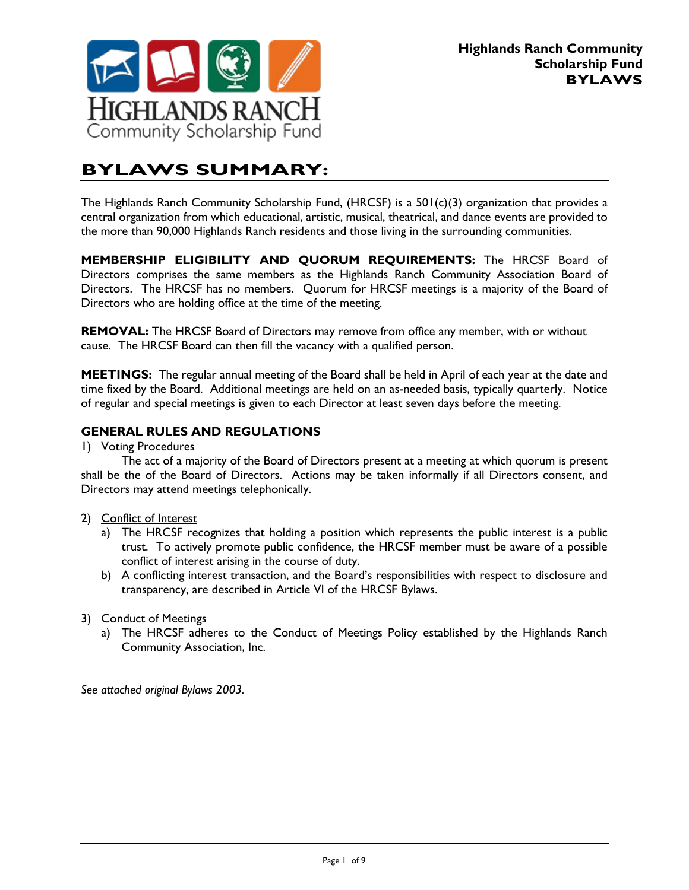

# **BYLAWS SUMMARY:**

The Highlands Ranch Community Scholarship Fund, (HRCSF) is a  $501(c)(3)$  organization that provides a central organization from which educational, artistic, musical, theatrical, and dance events are provided to the more than 90,000 Highlands Ranch residents and those living in the surrounding communities.

**MEMBERSHIP ELIGIBILITY AND QUORUM REQUIREMENTS:** The HRCSF Board of Directors comprises the same members as the Highlands Ranch Community Association Board of Directors. The HRCSF has no members. Quorum for HRCSF meetings is a majority of the Board of Directors who are holding office at the time of the meeting.

**REMOVAL:** The HRCSF Board of Directors may remove from office any member, with or without cause. The HRCSF Board can then fill the vacancy with a qualified person.

**MEETINGS:** The regular annual meeting of the Board shall be held in April of each year at the date and time fixed by the Board. Additional meetings are held on an as-needed basis, typically quarterly. Notice of regular and special meetings is given to each Director at least seven days before the meeting.

#### **GENERAL RULES AND REGULATIONS**

1) Voting Procedures

The act of a majority of the Board of Directors present at a meeting at which quorum is present shall be the of the Board of Directors. Actions may be taken informally if all Directors consent, and Directors may attend meetings telephonically.

#### 2) Conflict of Interest

- a) The HRCSF recognizes that holding a position which represents the public interest is a public trust. To actively promote public confidence, the HRCSF member must be aware of a possible conflict of interest arising in the course of duty.
- b) A conflicting interest transaction, and the Board's responsibilities with respect to disclosure and transparency, are described in Article VI of the HRCSF Bylaws.
- 3) Conduct of Meetings
	- a) The HRCSF adheres to the Conduct of Meetings Policy established by the Highlands Ranch Community Association, Inc.

*See attached original Bylaws 2003.*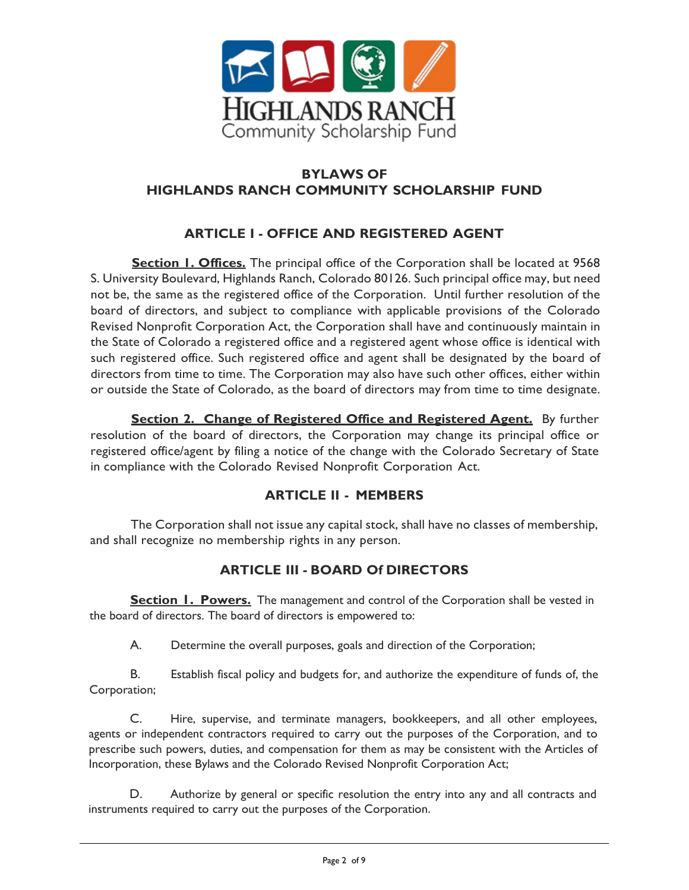

## **BYLAWS OF HIGHLANDS RANCH COMMUNITY SCHOLARSHIP FUND**

## **ARTICLE I - OFFICE AND REGISTERED AGENT**

**Section 1. Offices.** The principal office of the Corporation shall be located at 9568 S. University Boulevard, Highlands Ranch, Colorado 80126. Such principal office may, but need not be, the same as the registered office of the Corporation. Until further resolution of the board of directors, and subject to compliance with applicable provisions of the Colorado Revised Nonprofit Corporation Act, the Corporation shall have and continuously maintain in the State of Colorado a registered office and a registered agent whose office is identical with such registered office. Such registered office and agent shall be designated by the board of directors from time to time. The Corporation may also have such other offices, either within or outside the State of Colorado, as the board of directors may from time to time designate.

**Section 2. Change of Registered Office and Registered Agent.** By further resolution of the board of directors, the Corporation may change its principal office or registered office/agent by filing a notice of the change with the Colorado Secretary of State in compliance with the Colorado Revised Nonprofit Corporation Act.

## **ARTICLE II - MEMBERS**

The Corporation shall not issue any capital stock, shall have no classes of membership, and shall recognize no membership rights in any person.

## **ARTICLE III - BOARD Of DIRECTORS**

**Section 1. Powers.** The management and control of the Corporation shall be vested in the board of directors. The board of directors is empowered to:

A. Determine the overall purposes, goals and direction of the Corporation;

B. Establish fiscal policy and budgets for, and authorize the expenditure of funds of, the Corporation;

C. Hire, supervise, and terminate managers, bookkeepers, and all other employees, agents or independent contractors required to carry out the purposes of the Corporation, and to prescribe such powers, duties, and compensation for them as may be consistent with the Articles of Incorporation, these Bylaws and the Colorado Revised Nonprofit Corporation Act;

D. Authorize by general or specific resolution the entry into any and all contracts and instruments required to carry out the purposes of the Corporation.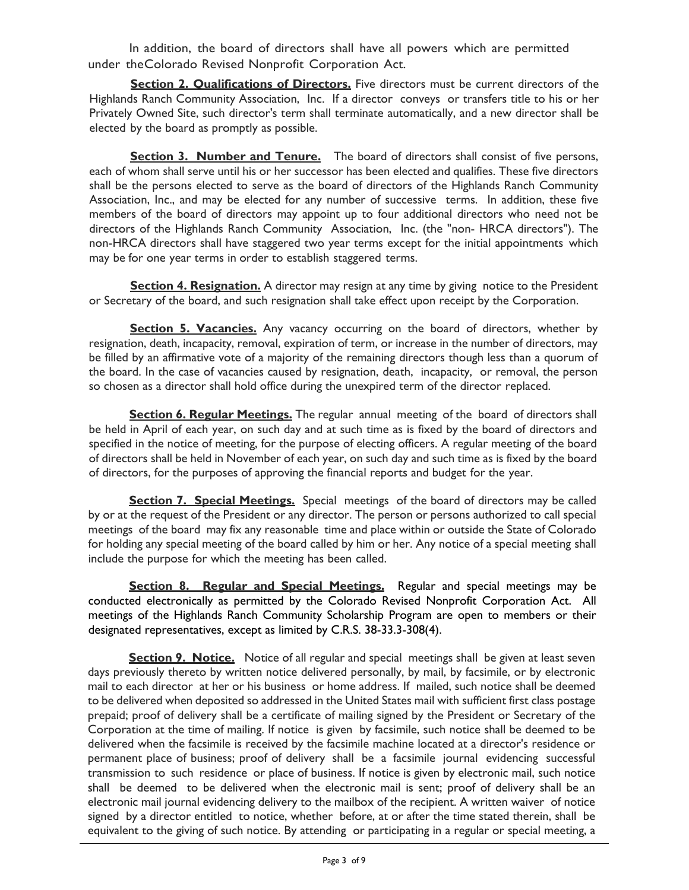In addition, the board of directors shall have all powers which are permitted under theColorado Revised Nonprofit Corporation Act.

**Section 2. Qualifications of Directors.** Five directors must be current directors of the Highlands Ranch Community Association, Inc. If a director conveys or transfers title to his or her Privately Owned Site, such director's term shall terminate automatically, and a new director shall be elected by the board as promptly as possible.

**Section 3. Number and Tenure.** The board of directors shall consist of five persons, each of whom shall serve until his or her successor has been elected and qualifies. These five directors shall be the persons elected to serve as the board of directors of the Highlands Ranch Community Association, Inc., and may be elected for any number of successive terms. In addition, these five members of the board of directors may appoint up to four additional directors who need not be directors of the Highlands Ranch Community Association, Inc. (the "non- HRCA directors"). The non-HRCA directors shall have staggered two year terms except for the initial appointments which may be for one year terms in order to establish staggered terms.

**Section 4. Resignation.** A director may resign at any time by giving notice to the President or Secretary of the board, and such resignation shall take effect upon receipt by the Corporation.

**Section 5. Vacancies.** Any vacancy occurring on the board of directors, whether by resignation, death, incapacity, removal, expiration of term, or increase in the number of directors, may be filled by an affirmative vote of a majority of the remaining directors though less than a quorum of the board. In the case of vacancies caused by resignation, death, incapacity, or removal, the person so chosen as a director shall hold office during the unexpired term of the director replaced.

**Section 6. Regular Meetings.** The regular annual meeting of the board of directors shall be held in April of each year, on such day and at such time as is fixed by the board of directors and specified in the notice of meeting, for the purpose of electing officers. A regular meeting of the board of directors shall be held in November of each year, on such day and such time as is fixed by the board of directors, for the purposes of approving the financial reports and budget for the year.

**Section 7. Special Meetings.** Special meetings of the board of directors may be called by or at the request of the President or any director. The person or persons authorized to call special meetings of the board may fix any reasonable time and place within or outside the State of Colorado for holding any special meeting of the board called by him or her. Any notice of a special meeting shall include the purpose for which the meeting has been called.

**Section 8. Regular and Special Meetings.** Regular and special meetings may be conducted electronically as permitted by the Colorado Revised Nonprofit Corporation Act. All meetings of the Highlands Ranch Community Scholarship Program are open to members or their designated representatives, except as limited by C.R.S. 38-33.3-308(4).

**Section 9. Notice.** Notice of all regular and special meetings shall be given at least seven days previously thereto by written notice delivered personally, by mail, by facsimile, or by electronic mail to each director at her or his business or home address. If mailed, such notice shall be deemed to be delivered when deposited so addressed in the United States mail with sufficient first class postage prepaid; proof of delivery shall be a certificate of mailing signed by the President or Secretary of the Corporation at the time of mailing. If notice is given by facsimile, such notice shall be deemed to be delivered when the facsimile is received by the facsimile machine located at a director's residence or permanent place of business; proof of delivery shall be a facsimile journal evidencing successful transmission to such residence or place of business. If notice is given by electronic mail, such notice shall be deemed to be delivered when the electronic mail is sent; proof of delivery shall be an electronic mail journal evidencing delivery to the mailbox of the recipient. A written waiver of notice signed by a director entitled to notice, whether before, at or after the time stated therein, shall be equivalent to the giving of such notice. By attending or participating in a regular or special meeting, a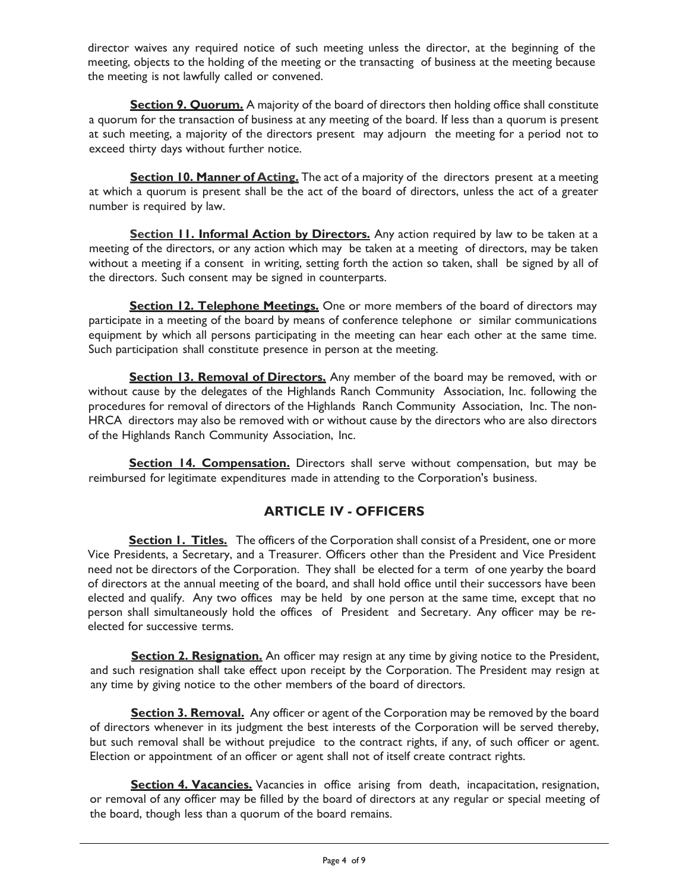director waives any required notice of such meeting unless the director, at the beginning of the meeting, objects to the holding of the meeting or the transacting of business at the meeting because the meeting is not lawfully called or convened.

**Section 9. Quorum.** A majority of the board of directors then holding office shall constitute a quorum for the transaction of business at any meeting of the board. If less than a quorum is present at such meeting, a majority of the directors present may adjourn the meeting for a period not to exceed thirty days without further notice.

**Section 10. Manner of Acting.** The act of a majority of the directors present at a meeting at which a quorum is present shall be the act of the board of directors, unless the act of a greater number is required by law.

**Section 11. Informal Action by Directors.** Any action required by law to be taken at a meeting of the directors, or any action which may be taken at a meeting of directors, may be taken without a meeting if a consent in writing, setting forth the action so taken, shall be signed by all of the directors. Such consent may be signed in counterparts.

**Section 12. Telephone Meetings.** One or more members of the board of directors may participate in a meeting of the board by means of conference telephone or similar communications equipment by which all persons participating in the meeting can hear each other at the same time. Such participation shall constitute presence in person at the meeting.

**Section 13. Removal of Directors.** Any member of the board may be removed, with or without cause by the delegates of the Highlands Ranch Community Association, Inc. following the procedures for removal of directors of the Highlands Ranch Community Association, Inc. The non-HRCA directors may also be removed with or without cause by the directors who are also directors of the Highlands Ranch Community Association, Inc.

**Section 14. Compensation.** Directors shall serve without compensation, but may be reimbursed for legitimate expenditures made in attending to the Corporation's business.

#### **ARTICLE IV - OFFICERS**

**Section 1. Titles.** The officers of the Corporation shall consist of a President, one or more Vice Presidents, a Secretary, and a Treasurer. Officers other than the President and Vice President need not be directors of the Corporation. They shall be elected for a term of one yearby the board of directors at the annual meeting of the board, and shall hold office until their successors have been elected and qualify. Any two offices may be held by one person at the same time, except that no person shall simultaneously hold the offices of President and Secretary. Any officer may be reelected for successive terms.

**Section 2. Resignation.** An officer may resign at any time by giving notice to the President, and such resignation shall take effect upon receipt by the Corporation. The President may resign at any time by giving notice to the other members of the board of directors.

**Section 3. Removal.** Any officer or agent of the Corporation may be removed by the board of directors whenever in its judgment the best interests of the Corporation will be served thereby, but such removal shall be without prejudice to the contract rights, if any, of such officer or agent. Election or appointment of an officer or agent shall not of itself create contract rights.

**Section 4. Vacancies.** Vacancies in office arising from death, incapacitation, resignation, or removal of any officer may be filled by the board of directors at any regular or special meeting of the board, though less than a quorum of the board remains.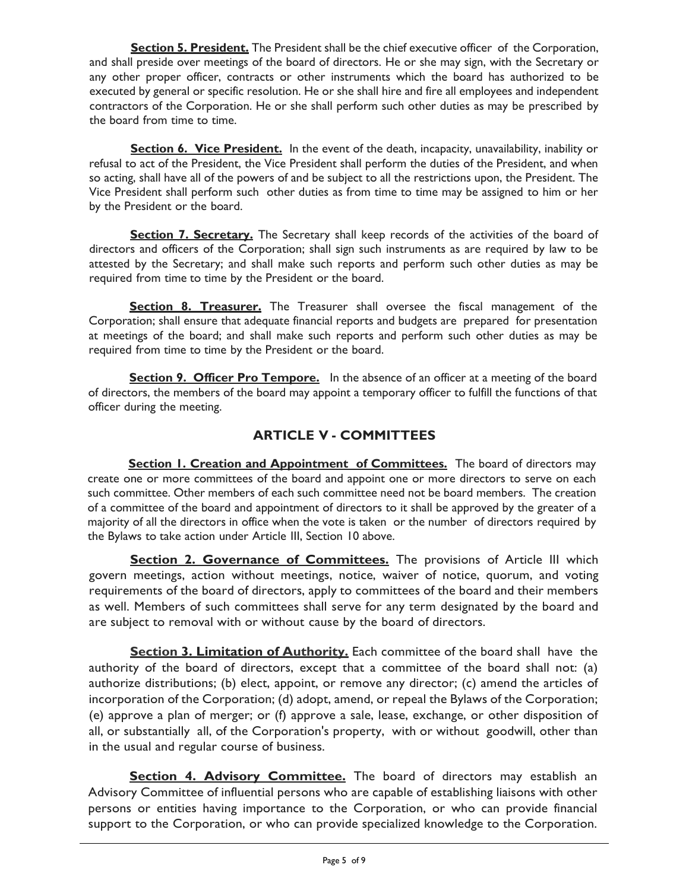**Section 5. President.** The President shall be the chief executive officer of the Corporation, and shall preside over meetings of the board of directors. He or she may sign, with the Secretary or any other proper officer, contracts or other instruments which the board has authorized to be executed by general or specific resolution. He or she shall hire and fire all employees and independent contractors of the Corporation. He or she shall perform such other duties as may be prescribed by the board from time to time.

**Section 6. Vice President.** In the event of the death, incapacity, unavailability, inability or refusal to act of the President, the Vice President shall perform the duties of the President, and when so acting, shall have all of the powers of and be subject to all the restrictions upon, the President. The Vice President shall perform such other duties as from time to time may be assigned to him or her by the President or the board.

**Section 7. Secretary.** The Secretary shall keep records of the activities of the board of directors and officers of the Corporation; shall sign such instruments as are required by law to be attested by the Secretary; and shall make such reports and perform such other duties as may be required from time to time by the President or the board.

**Section 8. Treasurer.** The Treasurer shall oversee the fiscal management of the Corporation; shall ensure that adequate financial reports and budgets are prepared for presentation at meetings of the board; and shall make such reports and perform such other duties as may be required from time to time by the President or the board.

**Section 9. Officer Pro Tempore.** In the absence of an officer at a meeting of the board of directors, the members of the board may appoint a temporary officer to fulfill the functions of that officer during the meeting.

#### **ARTICLE V - COMMITTEES**

**Section 1. Creation and Appointment of Committees.** The board of directors may create one or more committees of the board and appoint one or more directors to serve on each such committee. Other members of each such committee need not be board members. The creation of a committee of the board and appointment of directors to it shall be approved by the greater of a majority of all the directors in office when the vote is taken or the number of directors required by the Bylaws to take action under Article III, Section 10 above.

**Section 2. Governance of Committees.** The provisions of Article III which govern meetings, action without meetings, notice, waiver of notice, quorum, and voting requirements of the board of directors, apply to committees of the board and their members as well. Members of such committees shall serve for any term designated by the board and are subject to removal with or without cause by the board of directors.

**Section 3. Limitation of Authority.** Each committee of the board shall have the authority of the board of directors, except that a committee of the board shall not: (a) authorize distributions; (b) elect, appoint, or remove any director; (c) amend the articles of incorporation of the Corporation; (d) adopt, amend, or repeal the Bylaws of the Corporation; (e) approve a plan of merger; or (f) approve a sale, lease, exchange, or other disposition of all, or substantially all, of the Corporation's property, with or without goodwill, other than in the usual and regular course of business.

**Section 4. Advisory Committee.** The board of directors may establish an Advisory Committee of influential persons who are capable of establishing liaisons with other persons or entities having importance to the Corporation, or who can provide financial support to the Corporation, or who can provide specialized knowledge to the Corporation.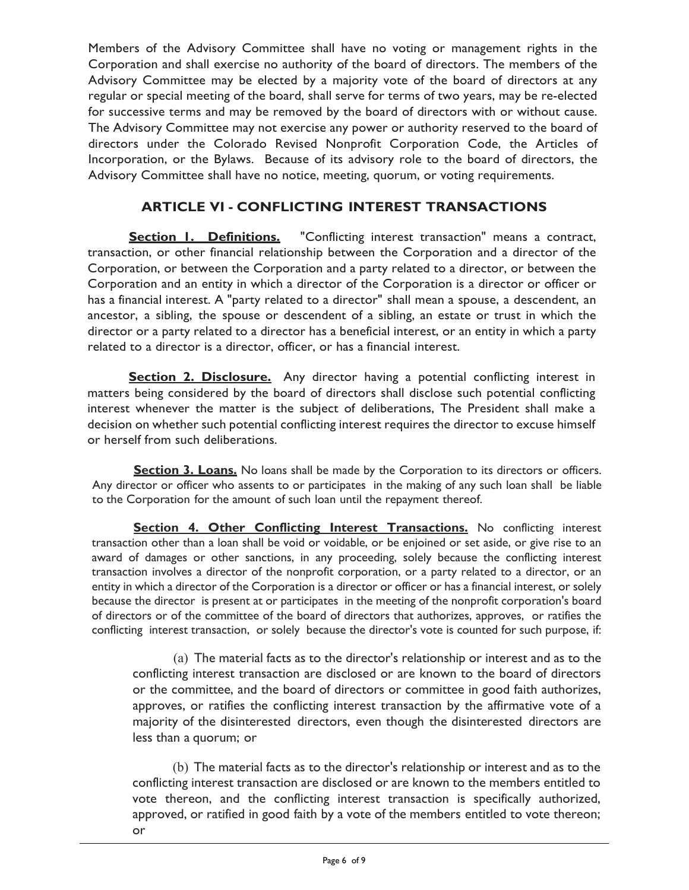Members of the Advisory Committee shall have no voting or management rights in the Corporation and shall exercise no authority of the board of directors. The members of the Advisory Committee may be elected by a majority vote of the board of directors at any regular or special meeting of the board, shall serve for terms of two years, may be re-elected for successive terms and may be removed by the board of directors with or without cause. The Advisory Committee may not exercise any power or authority reserved to the board of directors under the Colorado Revised Nonprofit Corporation Code, the Articles of Incorporation, or the Bylaws. Because of its advisory role to the board of directors, the Advisory Committee shall have no notice, meeting, quorum, or voting requirements.

#### **ARTICLE VI - CONFLICTING INTEREST TRANSACTIONS**

**Section I. Definitions.** "Conflicting interest transaction" means a contract, transaction, or other financial relationship between the Corporation and a director of the Corporation, or between the Corporation and a party related to a director, or between the Corporation and an entity in which a director of the Corporation is a director or officer or has a financial interest. A "party related to a director" shall mean a spouse, a descendent, an ancestor, a sibling, the spouse or descendent of a sibling, an estate or trust in which the director or a party related to a director has a beneficial interest, or an entity in which a party related to a director is a director, officer, or has a financial interest.

**Section 2. Disclosure.** Any director having a potential conflicting interest in matters being considered by the board of directors shall disclose such potential conflicting interest whenever the matter is the subject of deliberations, The President shall make a decision on whether such potential conflicting interest requires the director to excuse himself or herself from such deliberations.

**Section 3. Loans.** No loans shall be made by the Corporation to its directors or officers. Any director or officer who assents to or participates in the making of any such loan shall be liable to the Corporation for the amount of such loan until the repayment thereof.

**Section 4. Other Conflicting Interest Transactions.** No conflicting interest transaction other than a loan shall be void or voidable, or be enjoined or set aside, or give rise to an award of damages or other sanctions, in any proceeding, solely because the conflicting interest transaction involves a director of the nonprofit corporation, or a party related to a director, or an entity in which a director of the Corporation is a director or officer or has a financial interest, or solely because the director is present at or participates in the meeting of the nonprofit corporation's board of directors or of the committee of the board of directors that authorizes, approves, or ratifies the conflicting interest transaction, or solely because the director's vote is counted for such purpose, if:

(a) The material facts as to the director's relationship or interest and as to the conflicting interest transaction are disclosed or are known to the board of directors or the committee, and the board of directors or committee in good faith authorizes, approves, or ratifies the conflicting interest transaction by the affirmative vote of a majority of the disinterested directors, even though the disinterested directors are less than a quorum; or

(b) The material facts as to the director's relationship or interest and as to the conflicting interest transaction are disclosed or are known to the members entitled to vote thereon, and the conflicting interest transaction is specifically authorized, approved, or ratified in good faith by a vote of the members entitled to vote thereon; or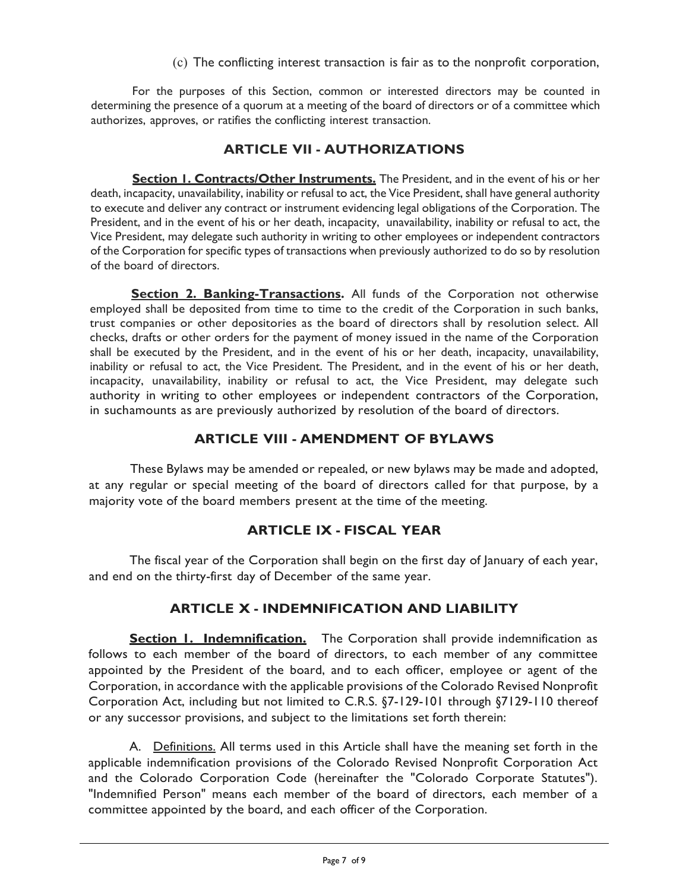(c) The conflicting interest transaction is fair as to the nonprofit corporation,

For the purposes of this Section, common or interested directors may be counted in determining the presence of a quorum at a meeting of the board of directors or of a committee which authorizes, approves, or ratifies the conflicting interest transaction.

#### **ARTICLE VII - AUTHORIZATIONS**

**Section 1. Contracts/Other Instruments.** The President, and in the event of his or her death, incapacity, unavailability, inability or refusal to act, the Vice President, shall have general authority to execute and deliver any contract or instrument evidencing legal obligations of the Corporation. The President, and in the event of his or her death, incapacity, unavailability, inability or refusal to act, the Vice President, may delegate such authority in writing to other employees or independent contractors of the Corporation for specific types of transactions when previously authorized to do so by resolution of the board of directors.

**Section 2. Banking-Transactions.** All funds of the Corporation not otherwise employed shall be deposited from time to time to the credit of the Corporation in such banks, trust companies or other depositories as the board of directors shall by resolution select. All checks, drafts or other orders for the payment of money issued in the name of the Corporation shall be executed by the President, and in the event of his or her death, incapacity, unavailability, inability or refusal to act, the Vice President. The President, and in the event of his or her death, incapacity, unavailability, inability or refusal to act, the Vice President, may delegate such authority in writing to other employees or independent contractors of the Corporation, in suchamounts as are previously authorized by resolution of the board of directors.

#### **ARTICLE VIII - AMENDMENT OF BYLAWS**

These Bylaws may be amended or repealed, or new bylaws may be made and adopted, at any regular or special meeting of the board of directors called for that purpose, by a majority vote of the board members present at the time of the meeting.

#### **ARTICLE IX - FISCAL YEAR**

The fiscal year of the Corporation shall begin on the first day of January of each year, and end on the thirty-first day of December of the same year.

#### **ARTICLE X - INDEMNIFICATION AND LIABILITY**

**Section 1. Indemnification.** The Corporation shall provide indemnification as follows to each member of the board of directors, to each member of any committee appointed by the President of the board, and to each officer, employee or agent of the Corporation, in accordance with the applicable provisions of the Colorado Revised Nonprofit Corporation Act, including but not limited to C.R.S. §7-129-101 through §7129-110 thereof or any successor provisions, and subject to the limitations set forth therein:

A. Definitions. All terms used in this Article shall have the meaning set forth in the applicable indemnification provisions of the Colorado Revised Nonprofit Corporation Act and the Colorado Corporation Code (hereinafter the "Colorado Corporate Statutes"). "Indemnified Person" means each member of the board of directors, each member of a committee appointed by the board, and each officer of the Corporation.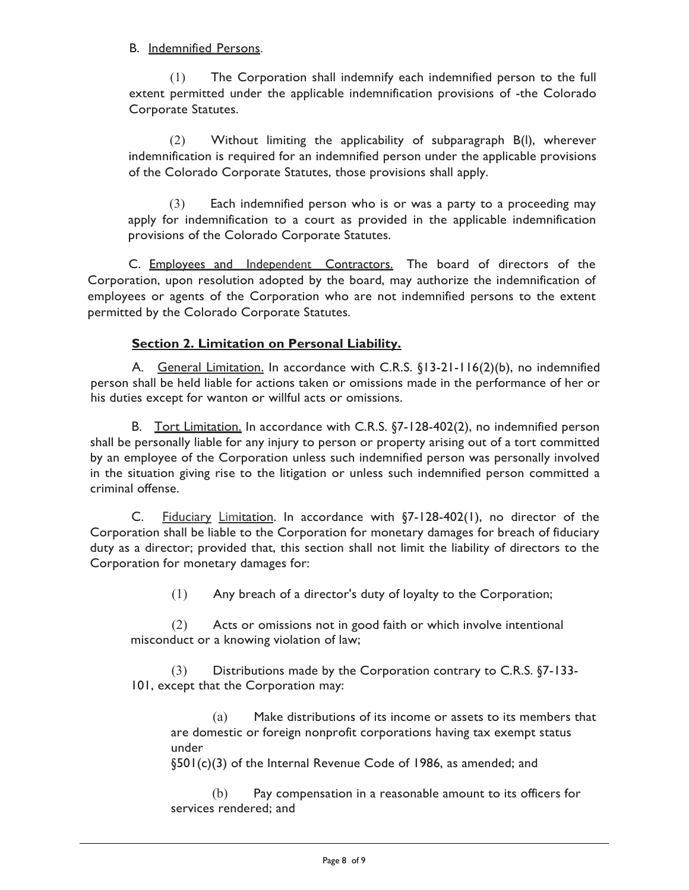#### B. Indemnified Persons.

(1) The Corporation shall indemnify each indemnified person to the full extent permitted under the applicable indemnification provisions of -the Colorado Corporate Statutes.

(2) Without limiting the applicability of subparagraph B(l), wherever indemnification is required for an indemnified person under the applicable provisions of the Colorado Corporate Statutes, those provisions shall apply.

(3) Each indemnified person who is or was a party to a proceeding may apply for indemnification to a court as provided in the applicable indemnification provisions of the Colorado Corporate Statutes.

C. Employees and Independent Contractors. The board of directors of the Corporation, upon resolution adopted by the board, may authorize the indemnification of employees or agents of the Corporation who are not indemnified persons to the extent permitted by the Colorado Corporate Statutes.

#### **Section 2. Limitation on Personal Liability.**

A. General Limitation. In accordance with C.R.S. §13-21-116(2)(b), no indemnified person shall be held liable for actions taken or omissions made in the performance of her or his duties except for wanton or willful acts or omissions.

B. Tort Limitation. In accordance with C.R.S. §7-128-402(2), no indemnified person shall be personally liable for any injury to person or property arising out of a tort committed by an employee of the Corporation unless such indemnified person was personally involved in the situation giving rise to the litigation or unless such indemnified person committed a criminal offense.

C. Fiduciary Limitation. In accordance with §7-128-402(1), no director of the Corporation shall be liable to the Corporation for monetary damages for breach of fiduciary duty as a director; provided that, this section shall not limit the liability of directors to the Corporation for monetary damages for:

(1) Any breach of a director's duty of loyalty to the Corporation;

(2) Acts or omissions not in good faith or which involve intentional misconduct or a knowing violation of law;

(3) Distributions made by the Corporation contrary to C.R.S. §7-133- 101, except that the Corporation may:

(a) Make distributions of its income or assets to its members that are domestic or foreign nonprofit corporations having tax exempt status under

§501(c)(3) of the Internal Revenue Code of 1986, as amended; and

(b) Pay compensation in a reasonable amount to its officers for services rendered; and